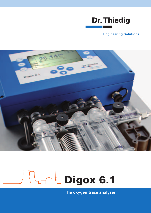

## **Engineering Solutions**



# **Nand Digox 6.1**

**The oxygen trace analyser**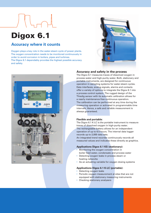# Digox 6.1

# **Accuracy where it counts**

Oxygen plays a key role in the water-steam cycle of power plants. The oxygen concentration needs to be monitored continuously in order to avoid corrosion in boilers, pipes and turbines. The Digox 6.1 dependably provides the highest possible accuracy and safety.





## **Accuracy and safety in the process**

The Digox 6.1 measures traces of dissolved oxygen in process water and high-purity water. Both, stationary and portable instruments, are designed for continuous operation in sampling systems for water-steam cycles. Data interfaces, analog signals, alarms and contacts offer a variety of options to integrate the Digox 6.1 into a process control system. The rugged design of the Thiedig sensor with its automatic calibration allows for a nearly maintenance-free continuous operation. The calibration can be performed at any time during the measuring operation or activated in programmable time intervals. Hence, a safe and reliable measurement is always guaranteed.

### **Flexible and portable:**

The Digox 6.1 K-LC is the portable instrument to measure traces of dissolved oxygen in high-purity water. The rechargeable battery allows for an independent operation of up to 6.5 hours. The internal data logger records up to 2,000 data sets.

An integrated trend recorder continuously records all measured values and indicates these directly as graphics.

### **Applications Digox 6.1 KS (stationary):**

- Monitoring the oxygen concentration in boiler feed water, condensate and process water
- Detecting oxygen leaks in process steam or heating networks
- As an actuating variable for oxygen dosing systems

### **Applications Digox 6.1 K-LC (portable):**

- Detecting oxygen leaks
- Periodic oxygen measurement at sites that are not equipped with stationary measuring instruments
- Checking stationary analysers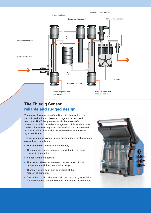

# **The Thiedig Sensor reliable and rugged design**

The measuring principle of the Digox 6.1 is based on the cathodic reduction of dissolved oxygen on a polarised electrode. The Thiedig sensor works by means of a potentiostatically controlled arrangement of three electrodes. Unlike other measuring principles, the liquid to be analysed acts as an electrolyte and is not separated from the sensor by a membrane.

The bare sensor provides various advantages over the sensors covered by a membrane:

- The sensor works drift-free and reliably.
- The response time is extremely short due to the direct contact to the medium.
- No consumable materials.
- The system allows for an exact compensation of both temperature and flow over a wide range.
- There is no zero-point drift as a result of the measuring principle.
- Due to the built-in calibration cell, the measuring sensitivity can be checked at any time without interrupting measurement.

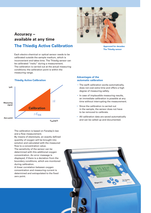

**The Thiedig sensor**

# **Accuracy – available at any time The Thiedig Active Calibration**

Each electro-chemical or optical sensor needs to be calibrated outside the sample medium, which is inconvenient and takes time. The Thiedig sensor can be calibrated "insitu" during a measurement. The calibration is carried out at the actual measuring conditions; the calibration point is within the measuring range.



#### **Thiedig Active Calibration**

The calibration is based on Faraday's law and a flow measurement.

By means of electolysis, an exactly defined quantity of oxygen will be brought into solution and calculated with the measured flow to a concentration value.

The sensitivity of the sensor can be determined with this additional oxygen concentration. An error message is displayed, if there is a deviation from the boundary conditions, which are monitored during calibration.

A linear correlation between oxygen concentration and measuring current is determined and extrapolated to the fixed zero point.

#### **Advantages of the automatic calibration**

- The swift calibration works automatically, does not cost extra time and offers a high degree of measuring safety.
- In case of implausible measuring results, an immediate calibration is possible at any time without interrupting the measurement.
- Since the calibration is carried out in the sample, the sensor does not have to be removed to calibrate.
- All calibration data are saved automatically and can be called up and documented.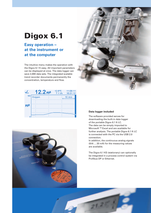# Digox 6.1

# **Easy operation – at the instrument or at the computer**

The intuitive menu makes the operation with the Digox 6.1 K easy. All important parameters can be displayed at once. The data logger can save 2,000 data sets. The integrated scalable trend recorder documents permanently the concentration, temperature and flow.







### **Data logger included**

The software provided serves for downloading the built-in data logger of the portable Digox 6.1 K-LC. The data can be simply imported to Microsoft TM Excel and are available for further analysis. The portable Digox 6.1 K-LC is connected with the PC via the USB 2.0 connection.

In addition, the continuous analog signals (0(4) ... 20 mA) for the measuring values are available.

The Digox 6.1 KS (stationary) can optionally be integrated in a process control system via Profibus DP or Ethernet.